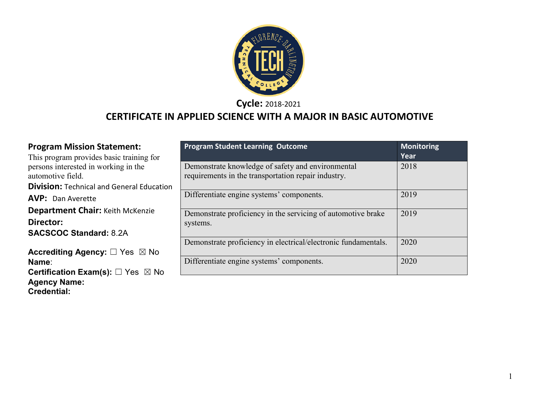

**Cycle:** 2018-2021

# **CERTIFICATE IN APPLIED SCIENCE WITH A MAJOR IN BASIC AUTOMOTIVE**

| <b>Program Mission Statement:</b>                                                                     | <b>Program Student Learning Outcome</b>                                                                  | <b>Monitoring</b><br>Year |
|-------------------------------------------------------------------------------------------------------|----------------------------------------------------------------------------------------------------------|---------------------------|
| This program provides basic training for<br>persons interested in working in the<br>automotive field. | Demonstrate knowledge of safety and environmental<br>requirements in the transportation repair industry. | 2018                      |
| <b>Division: Technical and General Education</b>                                                      |                                                                                                          |                           |
| <b>AVP:</b> Dan Averette                                                                              | Differentiate engine systems' components.                                                                | 2019                      |
| <b>Department Chair: Keith McKenzie</b>                                                               | Demonstrate proficiency in the servicing of automotive brake                                             | 2019                      |
| Director:                                                                                             | systems.                                                                                                 |                           |
| <b>SACSCOC Standard: 8.2A</b>                                                                         |                                                                                                          |                           |
|                                                                                                       | Demonstrate proficiency in electrical/electronic fundamentals.                                           | 2020                      |
| Accrediting Agency: $\square$ Yes $\boxtimes$ No                                                      |                                                                                                          |                           |
| Name:                                                                                                 | Differentiate engine systems' components.                                                                | 2020                      |
| <b>Certification Exam(s):</b> $\Box$ Yes $\boxtimes$ No                                               |                                                                                                          |                           |
| <b>Agency Name:</b>                                                                                   |                                                                                                          |                           |

**Credential:**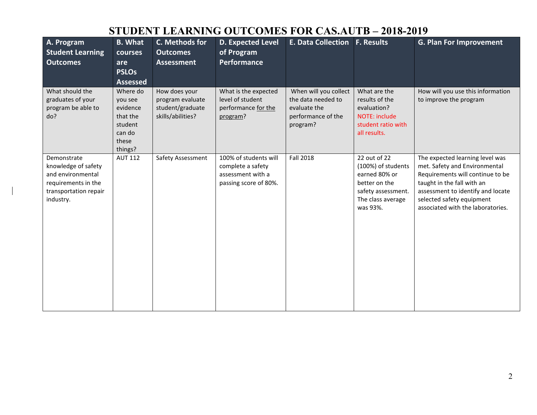#### **STUDENT LEARNING OUTCOMES FOR CAS.AUTB – 2018-2019**

| A. Program<br><b>Student Learning</b><br><b>Outcomes</b>                                                             | <b>B.</b> What<br>courses<br>are<br><b>PSLOs</b><br><b>Assessed</b>                  | C. Methods for<br><b>Outcomes</b><br><b>Assessment</b>                     | <b>D. Expected Level</b><br>of Program<br><b>Performance</b>                             | <b>E. Data Collection</b>                                                                     | <b>F. Results</b>                                                                                                           | <b>G. Plan For Improvement</b>                                                                                                                                                                                                            |
|----------------------------------------------------------------------------------------------------------------------|--------------------------------------------------------------------------------------|----------------------------------------------------------------------------|------------------------------------------------------------------------------------------|-----------------------------------------------------------------------------------------------|-----------------------------------------------------------------------------------------------------------------------------|-------------------------------------------------------------------------------------------------------------------------------------------------------------------------------------------------------------------------------------------|
| What should the<br>graduates of your<br>program be able to<br>do?                                                    | Where do<br>you see<br>evidence<br>that the<br>student<br>can do<br>these<br>things? | How does your<br>program evaluate<br>student/graduate<br>skills/abilities? | What is the expected<br>level of student<br>performance for the<br>program?              | When will you collect<br>the data needed to<br>evaluate the<br>performance of the<br>program? | What are the<br>results of the<br>evaluation?<br>NOTE: include<br>student ratio with<br>all results.                        | How will you use this information<br>to improve the program                                                                                                                                                                               |
| Demonstrate<br>knowledge of safety<br>and environmental<br>requirements in the<br>transportation repair<br>industry. | <b>AUT 112</b>                                                                       | Safety Assessment                                                          | 100% of students will<br>complete a safety<br>assessment with a<br>passing score of 80%. | <b>Fall 2018</b>                                                                              | 22 out of 22<br>(100%) of students<br>earned 80% or<br>better on the<br>safety assessment.<br>The class average<br>was 93%. | The expected learning level was<br>met. Safety and Environmental<br>Requirements will continue to be<br>taught in the fall with an<br>assessment to identify and locate<br>selected safety equipment<br>associated with the laboratories. |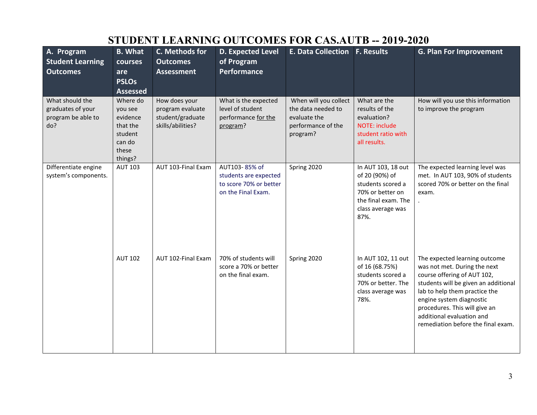| <u>DI ODENI LEANNINO OUTCOMEDI</u><br>UR UNDRU LD<br>-- <i>L</i> ui <i>j-L</i> uzu |                                                                                      |                                                                            |                                                                                        |                                                                                               |                                                                                                                                   |                                                                                                                                                                                                                                                                                                       |  |
|------------------------------------------------------------------------------------|--------------------------------------------------------------------------------------|----------------------------------------------------------------------------|----------------------------------------------------------------------------------------|-----------------------------------------------------------------------------------------------|-----------------------------------------------------------------------------------------------------------------------------------|-------------------------------------------------------------------------------------------------------------------------------------------------------------------------------------------------------------------------------------------------------------------------------------------------------|--|
| A. Program<br><b>Student Learning</b><br><b>Outcomes</b>                           | <b>B.</b> What<br>courses<br>are<br><b>PSLOs</b><br><b>Assessed</b>                  | C. Methods for<br><b>Outcomes</b><br><b>Assessment</b>                     | <b>D. Expected Level</b><br>of Program<br><b>Performance</b>                           | <b>E. Data Collection</b>                                                                     | <b>F. Results</b>                                                                                                                 | <b>G. Plan For Improvement</b>                                                                                                                                                                                                                                                                        |  |
| What should the<br>graduates of your<br>program be able to<br>do?                  | Where do<br>you see<br>evidence<br>that the<br>student<br>can do<br>these<br>things? | How does your<br>program evaluate<br>student/graduate<br>skills/abilities? | What is the expected<br>level of student<br>performance for the<br>program?            | When will you collect<br>the data needed to<br>evaluate the<br>performance of the<br>program? | What are the<br>results of the<br>evaluation?<br><b>NOTE: include</b><br>student ratio with<br>all results.                       | How will you use this information<br>to improve the program                                                                                                                                                                                                                                           |  |
| Differentiate engine<br>system's components.                                       | <b>AUT 103</b>                                                                       | AUT 103-Final Exam                                                         | AUT103-85% of<br>students are expected<br>to score 70% or better<br>on the Final Exam. | Spring 2020                                                                                   | In AUT 103, 18 out<br>of 20 (90%) of<br>students scored a<br>70% or better on<br>the final exam. The<br>class average was<br>87%. | The expected learning level was<br>met. In AUT 103, 90% of students<br>scored 70% or better on the final<br>exam.                                                                                                                                                                                     |  |
|                                                                                    | <b>AUT 102</b>                                                                       | AUT 102-Final Exam                                                         | 70% of students will<br>score a 70% or better<br>on the final exam.                    | Spring 2020                                                                                   | In AUT 102, 11 out<br>of 16 (68.75%)<br>students scored a<br>70% or better. The<br>class average was<br>78%.                      | The expected learning outcome<br>was not met. During the next<br>course offering of AUT 102,<br>students will be given an additional<br>lab to help them practice the<br>engine system diagnostic<br>procedures. This will give an<br>additional evaluation and<br>remediation before the final exam. |  |

# **STUDENT LEARNING OUTCOMES FOR CAS.AUTB -- 2019-2020**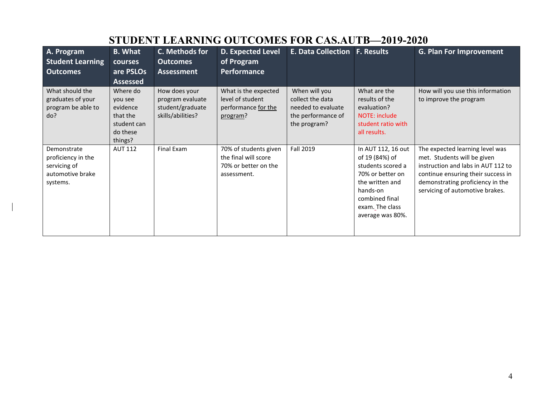|                                                                                   | 91 ODENI TEMNIN UNU OOT COMESTION CASACTE<br>2017-2020                            |                                                                            |                                                                                      |                                                                                               |                                                                                                                                                                       |                                                                                                                                                                                                                   |  |  |
|-----------------------------------------------------------------------------------|-----------------------------------------------------------------------------------|----------------------------------------------------------------------------|--------------------------------------------------------------------------------------|-----------------------------------------------------------------------------------------------|-----------------------------------------------------------------------------------------------------------------------------------------------------------------------|-------------------------------------------------------------------------------------------------------------------------------------------------------------------------------------------------------------------|--|--|
| A. Program<br><b>Student Learning</b><br><b>Outcomes</b>                          | <b>B.</b> What<br>courses<br>are PSLOs<br><b>Assessed</b>                         | C. Methods for<br><b>Outcomes</b><br><b>Assessment</b>                     | D. Expected Level<br>of Program<br><b>Performance</b>                                | <b>E. Data Collection F. Results</b>                                                          |                                                                                                                                                                       | <b>G. Plan For Improvement</b>                                                                                                                                                                                    |  |  |
| What should the<br>graduates of your<br>program be able to<br>do?                 | Where do<br>you see<br>evidence<br>that the<br>student can<br>do these<br>things? | How does your<br>program evaluate<br>student/graduate<br>skills/abilities? | What is the expected<br>level of student<br>performance for the<br>program?          | When will you<br>collect the data<br>needed to evaluate<br>the performance of<br>the program? | What are the<br>results of the<br>evaluation?<br>NOTE: include<br>student ratio with<br>all results.                                                                  | How will you use this information<br>to improve the program                                                                                                                                                       |  |  |
| Demonstrate<br>proficiency in the<br>servicing of<br>automotive brake<br>systems. | <b>AUT 112</b>                                                                    | Final Exam                                                                 | 70% of students given<br>the final will score<br>70% or better on the<br>assessment. | Fall 2019                                                                                     | In AUT 112, 16 out<br>of 19 (84%) of<br>students scored a<br>70% or better on<br>the written and<br>hands-on<br>combined final<br>exam. The class<br>average was 80%. | The expected learning level was<br>met. Students will be given<br>instruction and labs in AUT 112 to<br>continue ensuring their success in<br>demonstrating proficiency in the<br>servicing of automotive brakes. |  |  |

 $\mathbf{I}$ 

# **STUDENT LEARNING OUTCOMES FOR CAS.AUTB—2019-2020**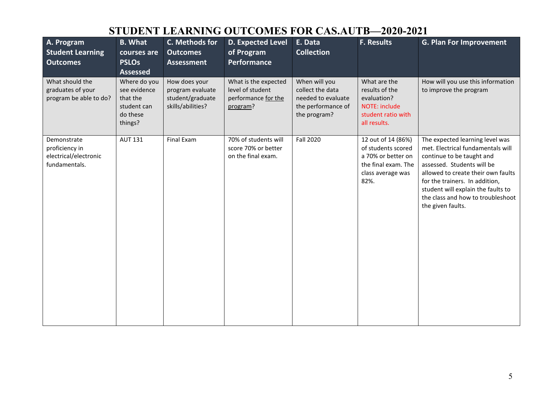## **STUDENT LEARNING OUTCOMES FOR CAS.AUTB—2020-2021**

| A. Program<br><b>Student Learning</b><br><b>Outcomes</b>                | <b>B.</b> What<br>courses are<br><b>PSLOs</b><br><b>Assessed</b>               | C. Methods for<br><b>Outcomes</b><br><b>Assessment</b>                     | <b>D. Expected Level</b><br>of Program<br>Performance                       | E. Data<br><b>Collection</b>                                                                  | <b>F. Results</b>                                                                                                  | <b>G. Plan For Improvement</b>                                                                                                                                                                                                                                                                          |
|-------------------------------------------------------------------------|--------------------------------------------------------------------------------|----------------------------------------------------------------------------|-----------------------------------------------------------------------------|-----------------------------------------------------------------------------------------------|--------------------------------------------------------------------------------------------------------------------|---------------------------------------------------------------------------------------------------------------------------------------------------------------------------------------------------------------------------------------------------------------------------------------------------------|
| What should the<br>graduates of your<br>program be able to do?          | Where do you<br>see evidence<br>that the<br>student can<br>do these<br>things? | How does your<br>program evaluate<br>student/graduate<br>skills/abilities? | What is the expected<br>level of student<br>performance for the<br>program? | When will you<br>collect the data<br>needed to evaluate<br>the performance of<br>the program? | What are the<br>results of the<br>evaluation?<br><b>NOTE: include</b><br>student ratio with<br>all results.        | How will you use this information<br>to improve the program                                                                                                                                                                                                                                             |
| Demonstrate<br>proficiency in<br>electrical/electronic<br>fundamentals. | <b>AUT 131</b>                                                                 | Final Exam                                                                 | 70% of students will<br>score 70% or better<br>on the final exam.           | <b>Fall 2020</b>                                                                              | 12 out of 14 (86%)<br>of students scored<br>a 70% or better on<br>the final exam. The<br>class average was<br>82%. | The expected learning level was<br>met. Electrical fundamentals will<br>continue to be taught and<br>assessed. Students will be<br>allowed to create their own faults<br>for the trainers. In addition,<br>student will explain the faults to<br>the class and how to troubleshoot<br>the given faults. |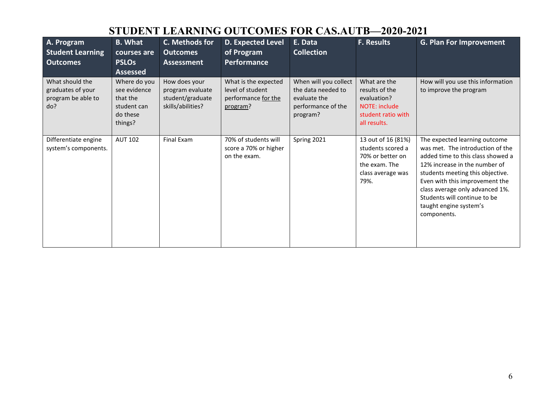### **STUDENT LEARNING OUTCOMES FOR CAS.AUTB—2020-2021**

| A. Program<br><b>Student Learning</b><br><b>Outcomes</b>          | <b>B.</b> What<br>courses are<br><b>PSLOs</b><br><b>Assessed</b>               | C. Methods for<br><b>Outcomes</b><br><b>Assessment</b>                     | <b>D. Expected Level</b><br>of Program<br>Performance                       | E. Data<br><b>Collection</b>                                                                  | <b>F. Results</b>                                                                                           | <b>G. Plan For Improvement</b>                                                                                                                                                                                                                                                                                            |
|-------------------------------------------------------------------|--------------------------------------------------------------------------------|----------------------------------------------------------------------------|-----------------------------------------------------------------------------|-----------------------------------------------------------------------------------------------|-------------------------------------------------------------------------------------------------------------|---------------------------------------------------------------------------------------------------------------------------------------------------------------------------------------------------------------------------------------------------------------------------------------------------------------------------|
| What should the<br>graduates of your<br>program be able to<br>do? | Where do you<br>see evidence<br>that the<br>student can<br>do these<br>things? | How does your<br>program evaluate<br>student/graduate<br>skills/abilities? | What is the expected<br>level of student<br>performance for the<br>program? | When will you collect<br>the data needed to<br>evaluate the<br>performance of the<br>program? | What are the<br>results of the<br>evaluation?<br><b>NOTE: include</b><br>student ratio with<br>all results. | How will you use this information<br>to improve the program                                                                                                                                                                                                                                                               |
| Differentiate engine<br>system's components.                      | <b>AUT 102</b>                                                                 | Final Exam                                                                 | 70% of students will<br>score a 70% or higher<br>on the exam.               | Spring 2021                                                                                   | 13 out of 16 (81%)<br>students scored a<br>70% or better on<br>the exam. The<br>class average was<br>79%.   | The expected learning outcome<br>was met. The introduction of the<br>added time to this class showed a<br>12% increase in the number of<br>students meeting this objective.<br>Even with this improvement the<br>class average only advanced 1%.<br>Students will continue to be<br>taught engine system's<br>components. |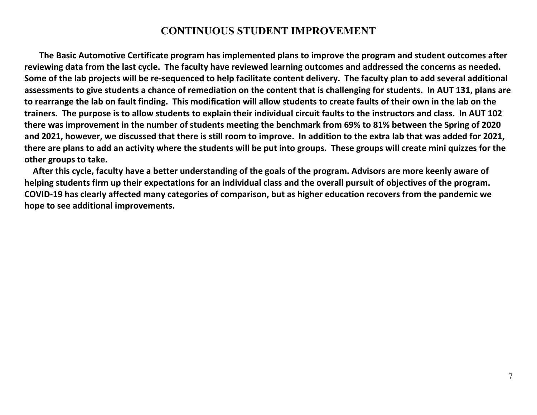#### **CONTINUOUS STUDENT IMPROVEMENT**

 **The Basic Automotive Certificate program has implemented plans to improve the program and student outcomes after reviewing data from the last cycle. The faculty have reviewed learning outcomes and addressed the concerns as needed. Some of the lab projects will be re-sequenced to help facilitate content delivery. The faculty plan to add several additional assessments to give students a chance of remediation on the content that is challenging for students. In AUT 131, plans are to rearrange the lab on fault finding. This modification will allow students to create faults of their own in the lab on the trainers. The purpose is to allow students to explain their individual circuit faults to the instructors and class. In AUT 102 there was improvement in the number of students meeting the benchmark from 69% to 81% between the Spring of 2020 and 2021, however, we discussed that there is still room to improve. In addition to the extra lab that was added for 2021, there are plans to add an activity where the students will be put into groups. These groups will create mini quizzes for the other groups to take.** 

 **After this cycle, faculty have a better understanding of the goals of the program. Advisors are more keenly aware of helping students firm up their expectations for an individual class and the overall pursuit of objectives of the program. COVID-19 has clearly affected many categories of comparison, but as higher education recovers from the pandemic we hope to see additional improvements.**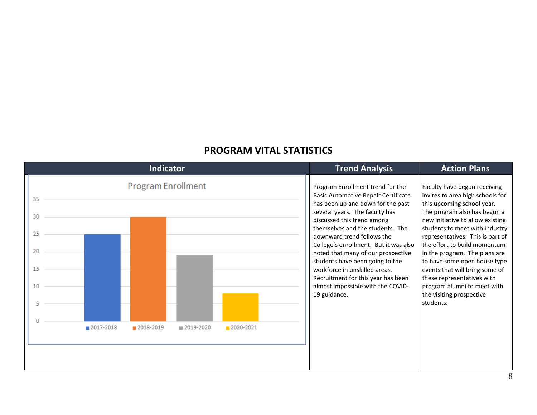#### **PROGRAM VITAL STATISTICS**

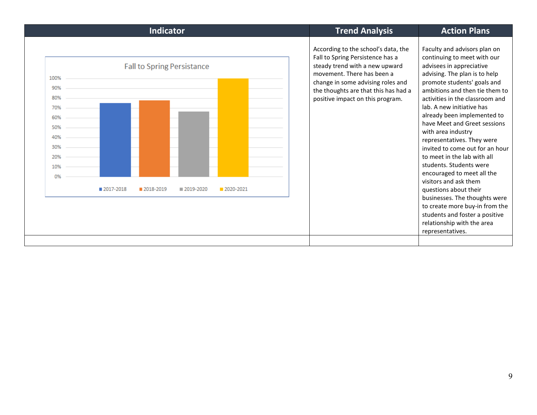| <b>Indicator</b>                                                                                                                                                       | <b>Trend Analysis</b>                                                                                                                                                                                                                                    | <b>Action Plans</b>                                                                                                                                                                                                                                                                                                                                                                                                                                                                                                                                                                                                                                                                                              |
|------------------------------------------------------------------------------------------------------------------------------------------------------------------------|----------------------------------------------------------------------------------------------------------------------------------------------------------------------------------------------------------------------------------------------------------|------------------------------------------------------------------------------------------------------------------------------------------------------------------------------------------------------------------------------------------------------------------------------------------------------------------------------------------------------------------------------------------------------------------------------------------------------------------------------------------------------------------------------------------------------------------------------------------------------------------------------------------------------------------------------------------------------------------|
| <b>Fall to Spring Persistance</b><br>100%<br>90%<br>80%<br>70%<br>60%<br>50%<br>40%<br>30%<br>20%<br>10%<br>0%<br>■ 2017-2018<br>2018-2019<br>■ 2019-2020<br>2020-2021 | According to the school's data, the<br>Fall to Spring Persistence has a<br>steady trend with a new upward<br>movement. There has been a<br>change in some advising roles and<br>the thoughts are that this has had a<br>positive impact on this program. | Faculty and advisors plan on<br>continuing to meet with our<br>advisees in appreciative<br>advising. The plan is to help<br>promote students' goals and<br>ambitions and then tie them to<br>activities in the classroom and<br>lab. A new initiative has<br>already been implemented to<br>have Meet and Greet sessions<br>with area industry<br>representatives. They were<br>invited to come out for an hour<br>to meet in the lab with all<br>students. Students were<br>encouraged to meet all the<br>visitors and ask them<br>questions about their<br>businesses. The thoughts were<br>to create more buy-in from the<br>students and foster a positive<br>relationship with the area<br>representatives. |
|                                                                                                                                                                        |                                                                                                                                                                                                                                                          |                                                                                                                                                                                                                                                                                                                                                                                                                                                                                                                                                                                                                                                                                                                  |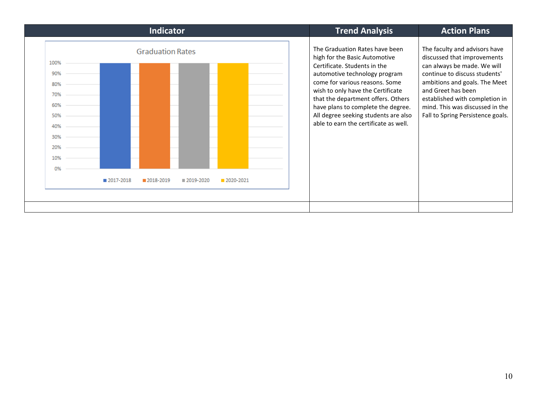